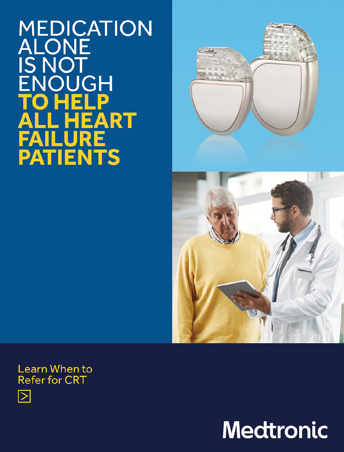## MEDICATION<br>ALONE<br>IS NOT **ENG** OUGH ELP H **EART JRE**  $\mathbf{E}$ **PATIENTS**







# **Medtronic**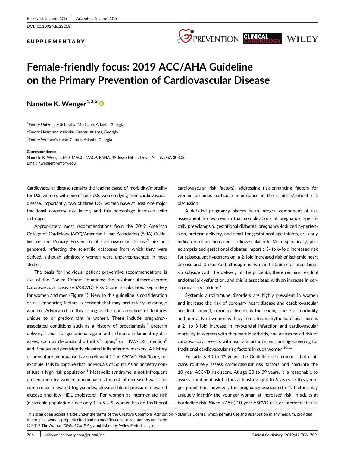DOI: 10.1002/clc.23218

#### SUPPLEMENTARY



### Female-friendly focus: 2019 ACC/AHA Guideline on the Primary Prevention of Cardiovascular Disease

Nanette K. Wenger<sup>1,2,3</sup>

1 Emory University School of Medicine, Atlanta, Georgia <sup>2</sup> Emory Heart and Vascular Center, Atlanta, Georgia 3 Emory Women's Heart Center, Atlanta, Georgia

#### Correspondence

Nanette K. Wenger, MD, MACC, MACP, FAHA, 49 Jesse Hill Jr. Drive, Atlanta, GA 30303. Email: [nwenger@emory.edu](mailto:nwenger@emory.edu)

Cardiovascular disease remains the leading cause of morbidity/mortality for U.S. women, with one of four U.S. women dying from cardiovascular disease. Importantly, two of three U.S. women have at least one major traditional coronary risk factor, and this percentage increases with older age.

Appropriately, most recommendations from the 2019 American College of Cardiology (ACC)/American Heart Association (AHA) Guideline on the Primary Prevention of Cardiovascular Disease<sup>1</sup> are not gendered, reflecting the scientific databases from which they were derived, although admittedly women were underrepresented in most studies.

The basis for individual patient preventive recommendations is use of the Pooled Cohort Equations; the resultant Atherosclerotic Cardiovascular Disease (ASCVD) Risk Score is calculated separately for women and men (Figure 1). New to this guideline is consideration of risk-enhancing factors, a concept that may particularly advantage women. Advocated in this listing is the consideration of features unique to or predominant in women. These include pregnancyassociated conditions such as a history of preeclampsia, $2$  preterm delivery, $3$  small for gestational age infants, chronic inflammatory diseases, such as rheumatoid arthritis,<sup>4</sup> lupus,<sup>5</sup> or HIV/AIDS infection<sup>6</sup> and if measured persistently elevated inflammatory markers, A history of premature menopause is also relevant.7 The ASCVD Risk Score, for example, fails to capture that individuals of South Asian ancestry constitute a high-risk population.<sup>8</sup> Metabolic syndrome, a not infrequent presentation for women, encompasses the risk of increased waist circumference, elevated triglycerides, elevated blood pressure, elevated glucose and low HDL-cholesterol. For women at intermediate risk (a sizeable population since only 1 in 5 U.S. women has no traditional

cardiovascular risk factors), addressing risk-enhancing factors for women assumes particular importance in the clinician/patient risk discussion.

A detailed pregnancy history is an integral component of risk assessment for women, in that complications of pregnancy, specifically preeclampsia, gestational diabetes, pregnancy-induced hypertension, preterm delivery, and small for gestational age infants, are early indicators of an increased cardiovascular risk. More specifically, preeclampsia and gestational diabetes impart a 3- to 6-fold increased risk for subsequent hypertension, a 2-fold increased risk of ischemic heart disease and stroke. And although many manifestations of preeclampsia subside with the delivery of the placenta, there remains residual endothelial dysfunction, and this is associated with an increase in coronary artery calcium.<sup>9</sup>

Systemic autoimmune disorders are highly prevalent in women and increase the risk of coronary heart disease and cerebrovascular accident. Indeed, coronary disease is the leading cause of morbidity and mortality in women with systemic lupus erythematosus. There is a 2- to 3-fold increase in myocardial infarction and cardiovascular mortality in women with rheumatoid arthritis, and an increased risk of cardiovascular events with psoriatic arthritis, warranting screening for traditional cardiovascular risk factors in such women.<sup>10,11</sup>

For adults 40 to 75 years, the Guideline recommends that clinicians routinely assess cardiovascular risk factors and calculate the 10-year ASCVD risk score. At age 20 to 39 years, it is reasonable to assess traditional risk factors at least every 4 to 6 years. In this younger population, however, the pregnancy-associated risk factors may uniquely identify the younger woman at increased risk. In adults at borderline risk (5% to <7.5%) 10-year ASCVD risk, or intermediate risk

This is an open access article under the terms of the [Creative Commons Attribution-NoDerivs](http://creativecommons.org/licenses/by-nd/4.0/) License, which permits use and distribution in any medium, provided the original work is properly cited and no modifications or adaptations are made. © 2019 The Author. Clinical Cardiology published by Wiley Periodicals, Inc.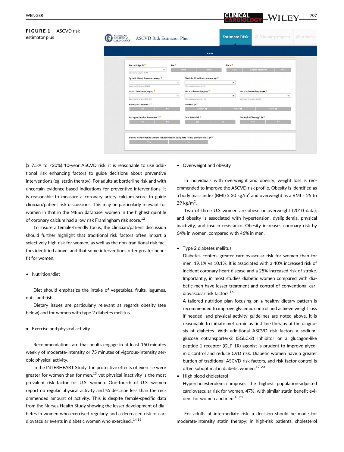#### FIGURE 1 ASCVD risk estimator plus

|                                  |                  | $\bullet\bullet\bullet\bullet$     |                     |                              |         |
|----------------------------------|------------------|------------------------------------|---------------------|------------------------------|---------|
| Current Age O                    | Sex <sup>*</sup> | Race <sup>*</sup>                  |                     |                              |         |
| ies<br>Age must be between 20-79 | Male             | Female                             | <b>White</b>        | <b>African American</b>      | Other   |
| Systolic Blood Pressure (mm Hg)  |                  | Diastolic Blood Pressure (mm Hg) O |                     |                              |         |
|                                  | liei.            |                                    | iei.                |                              |         |
| Value must be between 90-200     |                  | Value must be between 60-130       |                     |                              |         |
| Total Cholesterol (mg/dL)        |                  | HDL Cholesterol (mg/dL)            |                     | LDL Cholesterol (mg/dL) 0 0  |         |
|                                  | 108              |                                    | ios.                |                              | 545     |
| Value must be between 130 - 320  |                  | Value must be between 20 - 100     |                     | Value must be between 30-300 |         |
| <b>History of Diabetes?</b>      | Smoker? O*       |                                    |                     |                              |         |
| Yes<br>No.                       |                  | Current O                          | Former <sup>Q</sup> |                              | Never O |
| On Hypertension Treatment? *     | On a Statin? O O |                                    |                     | On Aspirin Therapy? 0 º      |         |
| Yes<br>No.                       |                  | Yes                                | No                  | Yes                          | No      |
|                                  |                  |                                    |                     |                              |         |

(≥ 7.5% to <20%) 10-year ASCVD risk, it is reasonable to use additional risk enhancing factors to guide decisions about preventive interventions (eg, statin therapy). For adults at borderline risk and with uncertain evidence-based indications for preventive interventions, it is reasonable to measure a coronary artery calcium score to guide clinician/patient risk discussions. This may be particularly relevant for women in that in the MESA database, women in the highest quintile of coronary calcium had a low risk Framingham risk score.12

To insure a female-friendly focus, the clinician/patient discussion should further highlight that traditional risk factors often impart a selectively high risk for women, as well as the non-traditional risk factors identified above, and that some interventions offer greater benefit for women.

#### • Nutrition/diet

Diet should emphasize the intake of vegetables, fruits, legumes, nuts, and fish.

Dietary issues are particularly relevant as regards obesity (see below) and for women with type 2 diabetes mellitus.

• Exercise and physical activity

Recommendations are that adults engage in at least 150 minutes weekly of moderate-intensity or 75 minutes of vigorous-intensity aerobic physical activity.

In the INTERHEART Study, the protective effects of exercise were greater for women than for men, $^{13}$  yet physical inactivity is the most prevalent risk factor for U.S. women. One-fourth of U.S. women report no regular physical activity and <sup>3</sup> /<sup>4</sup> describe less than the recommended amount of activity. This is despite female-specific data from the Nurses Health Study showing the lesser development of diabetes in women who exercised regularly and a decreased risk of cardiovascular events in diabetic women who exercised..<sup>14,15</sup>

• Overweight and obesity

In individuals with overweight and obesity, weight loss is recommended to improve the ASCVD risk profile. Obesity is identified as a body mass index (BMI)  $\geq$  30 kg/m<sup>2</sup> and overweight as a BMI = 25 to 29 kg/m<sup>2</sup>.

Two of three U.S women are obese or overweight (2010 data); and obesity is associated with hypertension, dyslipidemia, physical inactivity, and insulin resistance. Obesity increases coronary risk by 64% in women, compared with 46% in men.

• Type 2 diabetes mellitus

Diabetes confers greater cardiovascular risk for women than for men, 19.1% vs 10.1%. It is associated with a 40% increased risk of incident coronary heart disease and a 25% increased risk of stroke. Importantly, in most studies diabetic women compared with diabetic men have lesser treatment and control of conventional cardiovascular risk factors.16

A tailored nutrition plan focusing on a healthy dietary pattern is recommended to improve glycemic control and achieve weight loss if needed, and physical activity guidelines are noted above. It is reasonable to initiate metformin as first line therapy at the diagnosis of diabetes. With additional ASCVD risk factors a sodiumglucose cotransporter-2 (SGLC-2) inhibitor or a glucagon-like peptide-1 receptor (GLP-1R) agonist is prudent to improve glycemic control and reduce CVD risk. Diabetic women have a greater burden of traditional ASCVD risk factors, and risk factor control is often suboptimal in diabetic women.<sup>17-20</sup>

• High blood cholesterol

Hypercholesterolemia imposes the highest population-adjusted cardiovascular risk for women, 47%, with similar statin benefit evident for women and men.<sup>13,21</sup>

For adults at intermediate risk, a decision should be made for moderate-intensity statin therapy; in high-risk patients, cholesterol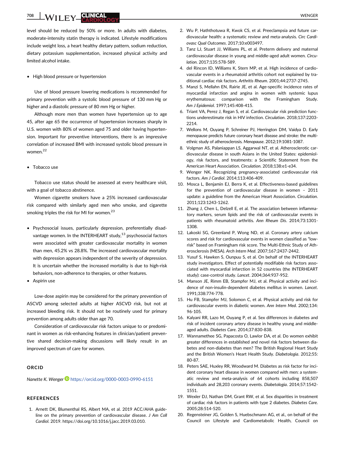708 WILEY CHNICAL CONTROL CONTROL CONTROL CONTROL CONTROL CONTROL CONTROL CONTROL CONTROL CONTROL CONTROL CONTROL CONTROL CONTROL CONTROL CONTROL CONTROL CONTROL CONTROL CONTROL CONTROL CONTROL CONTROL CONTROL CONTROL CONT

level should be reduced by 50% or more. In adults with diabetes, moderate-intensity statin therapy is indicated. Lifestyle modifications include weight loss, a heart healthy dietary pattern, sodium reduction, dietary potassium supplementation, increased physical activity and limited alcohol intake.

• High blood pressure or hypertension

Use of blood pressure lowering medications is recommended for primary prevention with a systolic blood pressure of 130 mm Hg or higher and a diastolic pressure of 80 mm Hg or higher.

Although more men than women have hypertension up to age 45, after age 65 the occurrence of hypertension increases sharply in U.S. women with 80% of women aged 75 and older having hypertension. Important for preventive interventions, there is an impressive correlation of increased BMI with increased systolic blood pressure in women.<sup>22</sup>

#### • Tobacco use

Tobacco use status should be assessed at every healthcare visit, with a goal of tobacco abstinence.

Women cigarette smokers have a 25% increased cardiovascular risk compared with similarly aged men who smoke, and cigarette smoking triples the risk for MI for women. $23$ 

- Psychosocial issues, particularly depression, preferentially disadvantage women. In the INTERHEART study, $^{13}$  psychosocial factors were associated with greater cardiovascular mortality in women than men, 45.2% vs 28.8%. The increased cardiovascular mortality with depression appears independent of the severity of depression. It is uncertain whether the increased mortality is due to high-risk behaviors, non-adherence to therapies, or other features.
- Aspirin use

Low-dose aspirin may be considered for the primary prevention of ASCVD among selected adults at higher ASCVD risk, but not at increased bleeding risk. It should not be routinely used for primary prevention among adults older than age 70.

Consideration of cardiovascular risk factors unique to or predominant in women as risk-enhancing features in clinician/patient preventive shared decision-making discussions will likely result in an improved spectrum of care for women.

#### ORCID

Nanette K. Wenger D<https://orcid.org/0000-0003-0990-6151>

#### REFERENCES

1. Arnett DK, Blumenthal RS, Albert MA, et al. 2019 ACC/AHA guideline on the primary prevention of cardiovascular disease. J Am Coll Cardiol. 2019. [https://doi.org/10.1016/j.jacc.2019.03.010.](https://doi.org/10.1016/j.jacc.2019.03.010)

- 2. Wu P, Haththotuwa R, Kwok CS, et al. Preeclampsia and future cardiovascular health: a systematic review and meta-analysis. Circ Cardiovasc Qual Outcomes. 2017;10:e003497.
- 3. Tanz LJ, Stuart JJ, Williams PL, et al. Preterm delivery and maternal cardiovascular disease in young and middle-aged adult women. Circulation. 2017;135:578-589.
- 4. del Rincon ID, Williams K, Stern MP, et al. High incidence of cardiovascular events in a rheumatoid arthritis cohort not explained by traditional cardiac risk factors. Arthritis Rheum. 2001;44:2737-2745.
- 5. Manzi S, Mellahn EN, Rairie JE, et al. Age-specific incidence rates of myocardial infarction and angina in women with systemic lupus erythematosus: comparison with the Framingham Study. Am J Epidemiol. 1997;145:408-415.
- 6. Triant VA, Perez J, Regan S, et al. Cardiovascular risk prediction functions underestimate risk in HIV infection. Circulation. 2018;137:2203- 2214.
- 7. Wellons M, Ouyang P, Schreiner PJ, Herrington DM, Vaidya D. Early menopause predicts future coronary heart disease and stroke: the multiethnic study of atherosclerosis. Menopause. 2012;19:1081-1087.
- 8. Volgman AS, Palaniappan LS, Aggarwal NT, et al. Atherosclerotic cardiovascular disease in south Asians in the United States: epidemiology, risk factors, and treatments: a Scientific Statement from the American Heart Association. Circulation. 2018;138:e1-e34.
- 9. Wenger NK. Recognizing pregnancy-associated cardiovascular risk factors. Am J Cardiol. 2014;113:406-409.
- 10. Mosca L, Benjamin EJ, Berra K, et al. Effectiveness-based guidelines for the prevention of cardiovascular disease in women – 2011 update: a guideline from the American Heart Association. Circulation. 2011;123:1243-1262.
- 11. Zhang J, Chen L, Delzell E, et al. The association between inflammatory markers, serum lipids and the risk of cardiovascular events in patients with rheumatoid arthritis. Ann Rheum Dis. 2014;73:1301- 1308.
- 12. Lakoski SG, Greenland P, Wong ND, et al. Coronary artery calcium scores and risk for cardiovascular events in women classified as "lowrisk" based on Framingham risk score. The Multi-Ethnic Study of Atherosclerosis (MESA). Arch Intern Med. 2007;167:2437-2442.
- 13. Yusuf S, Hawken S, Ounpuu S, et al. On behalf of the INTERHEART study investigators. Effect of potentially modifiable risk factors associated with myocardial infarction in 52 countries (the INTERHEART study): case-control study. Lancet. 2004;364:937-952.
- 14. Manson JE, Rimm EB, Stampfer MJ, et al. Physical activity and incidence of non-insulin-dependent diabetes mellitus in women. Lancet. 1991;338:774-778.
- 15. Hu FB, Stampfer MJ, Solomon C, et al. Physical activity and risk for cardiovascular events in diabetic women. Ann Intern Med. 2002;134: 96-105.
- 16. Kalyani RR, Lazo M, Ouyang P, et al. Sex differences in diabetes and risk of incident coronary artery disease in healthy young and middleaged adults. Diabetes Care. 2014;37:830-838.
- 17. Wannamethee SG, Papacosta O, Lawlor DA, et al. Do women exhibit greater differences in established and novel risk factors between diabetes and non-diabetes than men? The British Regional Heart Study and the British Women's Heart Health Study. Diabetologia. 2012;55: 80-87.
- 18. Peters SAE, Huxley RR, Woodward M. Diabetes as risk factor for incident coronary heart disease in women compared with men: a systematic review and meta-analysis of 64 cohorts including 858,507 individuals and 28,203 coronary events. Diabetologia. 2014;57:1542- 1551.
- 19. Wexler DJ, Nathan DM, Grant RW, et al. Sex disparities in treatment of cardiac risk factors in patients with type 2 diabetes. Diabetes Care. 2005;28:514-520.
- 20. Regensteiner JG, Golden S, Huebschmann AG, et al., on behalf of the Council on Lifestyle and Cardiometabolic Health, Council on